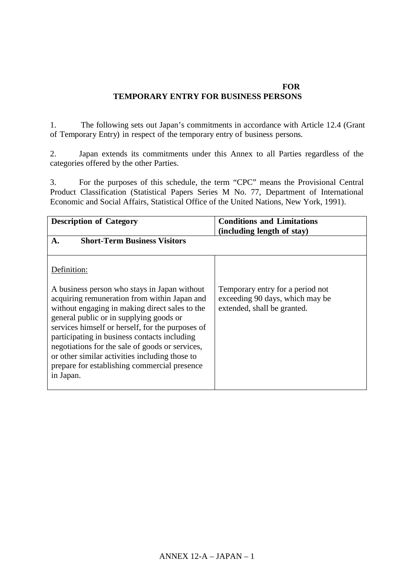### **JAPAN'S SCHEDULE OF COMMITMENTS FOR TEMPORARY ENTRY FOR BUSINESS PERSONS**

1. The following sets out Japan's commitments in accordance with Article 12.4 (Grant of Temporary Entry) in respect of the temporary entry of business persons.

2. Japan extends its commitments under this Annex to all Parties regardless of the categories offered by the other Parties.

3. For the purposes of this schedule, the term "CPC" means the Provisional Central Product Classification (Statistical Papers Series M No. 77, Department of International Economic and Social Affairs, Statistical Office of the United Nations, New York, 1991).

| <b>Description of Category</b>                                                                                                                                                                                                                                                                                                                                                                                                                                  | <b>Conditions and Limitations</b>                                                                  |
|-----------------------------------------------------------------------------------------------------------------------------------------------------------------------------------------------------------------------------------------------------------------------------------------------------------------------------------------------------------------------------------------------------------------------------------------------------------------|----------------------------------------------------------------------------------------------------|
| <b>Short-Term Business Visitors</b><br>$\mathbf{A}$ .                                                                                                                                                                                                                                                                                                                                                                                                           | (including length of stay)                                                                         |
| Definition:                                                                                                                                                                                                                                                                                                                                                                                                                                                     |                                                                                                    |
| A business person who stays in Japan without<br>acquiring remuneration from within Japan and<br>without engaging in making direct sales to the<br>general public or in supplying goods or<br>services himself or herself, for the purposes of<br>participating in business contacts including<br>negotiations for the sale of goods or services,<br>or other similar activities including those to<br>prepare for establishing commercial presence<br>in Japan. | Temporary entry for a period not<br>exceeding 90 days, which may be<br>extended, shall be granted. |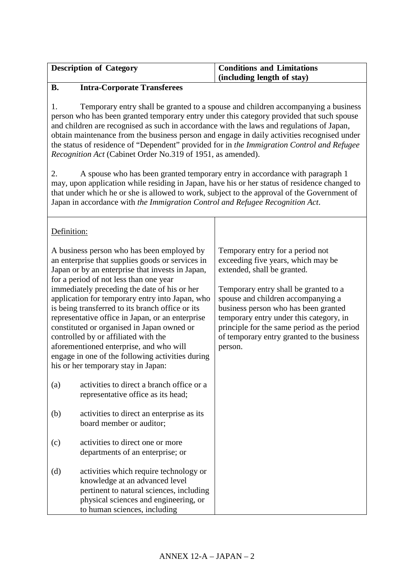| <b>Description of Category</b> | <b>Conditions and Limitations</b> |
|--------------------------------|-----------------------------------|
|                                | (including length of stay)        |

## **B. Intra-Corporate Transferees**

1. Temporary entry shall be granted to a spouse and children accompanying a business person who has been granted temporary entry under this category provided that such spouse and children are recognised as such in accordance with the laws and regulations of Japan, obtain maintenance from the business person and engage in daily activities recognised under the status of residence of "Dependent" provided for in *the Immigration Control and Refugee Recognition Act* (Cabinet Order No.319 of 1951, as amended).

2. A spouse who has been granted temporary entry in accordance with paragraph 1 may, upon application while residing in Japan, have his or her status of residence changed to that under which he or she is allowed to work, subject to the approval of the Government of Japan in accordance with *the Immigration Control and Refugee Recognition Act*.

| Definition: |                                                                                                                                                                                                                                                                                                                                                                                                                                     |                                                                                                                                                                                                                                                                        |
|-------------|-------------------------------------------------------------------------------------------------------------------------------------------------------------------------------------------------------------------------------------------------------------------------------------------------------------------------------------------------------------------------------------------------------------------------------------|------------------------------------------------------------------------------------------------------------------------------------------------------------------------------------------------------------------------------------------------------------------------|
|             | A business person who has been employed by<br>an enterprise that supplies goods or services in<br>Japan or by an enterprise that invests in Japan,<br>for a period of not less than one year                                                                                                                                                                                                                                        | Temporary entry for a period not<br>exceeding five years, which may be<br>extended, shall be granted.                                                                                                                                                                  |
|             | immediately preceding the date of his or her<br>application for temporary entry into Japan, who<br>is being transferred to its branch office or its<br>representative office in Japan, or an enterprise<br>constituted or organised in Japan owned or<br>controlled by or affiliated with the<br>aforementioned enterprise, and who will<br>engage in one of the following activities during<br>his or her temporary stay in Japan: | Temporary entry shall be granted to a<br>spouse and children accompanying a<br>business person who has been granted<br>temporary entry under this category, in<br>principle for the same period as the period<br>of temporary entry granted to the business<br>person. |
| (a)         | activities to direct a branch office or a<br>representative office as its head;                                                                                                                                                                                                                                                                                                                                                     |                                                                                                                                                                                                                                                                        |
| (b)         | activities to direct an enterprise as its<br>board member or auditor;                                                                                                                                                                                                                                                                                                                                                               |                                                                                                                                                                                                                                                                        |
| (c)         | activities to direct one or more<br>departments of an enterprise; or                                                                                                                                                                                                                                                                                                                                                                |                                                                                                                                                                                                                                                                        |
| (d)         | activities which require technology or<br>knowledge at an advanced level<br>pertinent to natural sciences, including<br>physical sciences and engineering, or<br>to human sciences, including                                                                                                                                                                                                                                       |                                                                                                                                                                                                                                                                        |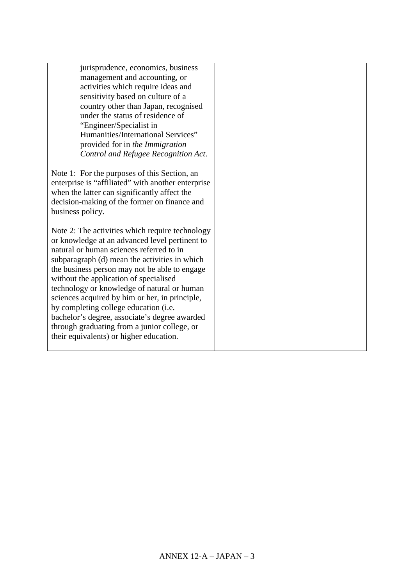| jurisprudence, economics, business                                                         |  |
|--------------------------------------------------------------------------------------------|--|
| management and accounting, or                                                              |  |
| activities which require ideas and                                                         |  |
| sensitivity based on culture of a                                                          |  |
| country other than Japan, recognised                                                       |  |
| under the status of residence of                                                           |  |
| "Engineer/Specialist in                                                                    |  |
| Humanities/International Services"                                                         |  |
| provided for in the Immigration                                                            |  |
| Control and Refugee Recognition Act.                                                       |  |
|                                                                                            |  |
| Note 1: For the purposes of this Section, an                                               |  |
| enterprise is "affiliated" with another enterprise                                         |  |
| when the latter can significantly affect the                                               |  |
| decision-making of the former on finance and                                               |  |
| business policy.                                                                           |  |
|                                                                                            |  |
| Note 2: The activities which require technology                                            |  |
| or knowledge at an advanced level pertinent to<br>natural or human sciences referred to in |  |
| subparagraph (d) mean the activities in which                                              |  |
| the business person may not be able to engage                                              |  |
| without the application of specialised                                                     |  |
| technology or knowledge of natural or human                                                |  |
| sciences acquired by him or her, in principle,                                             |  |
| by completing college education (i.e.                                                      |  |
| bachelor's degree, associate's degree awarded                                              |  |
| through graduating from a junior college, or                                               |  |
| their equivalents) or higher education.                                                    |  |
|                                                                                            |  |
|                                                                                            |  |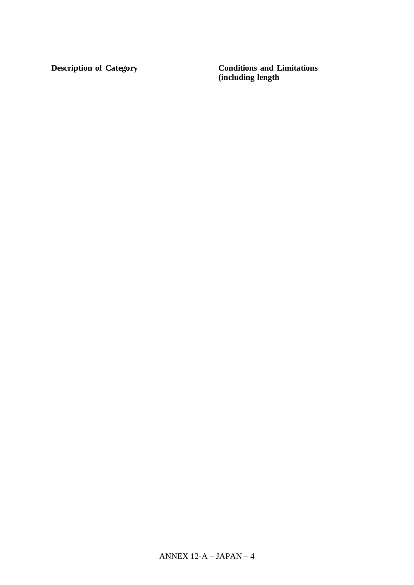**Description of Category** 

**Conditions and Limitations** (including length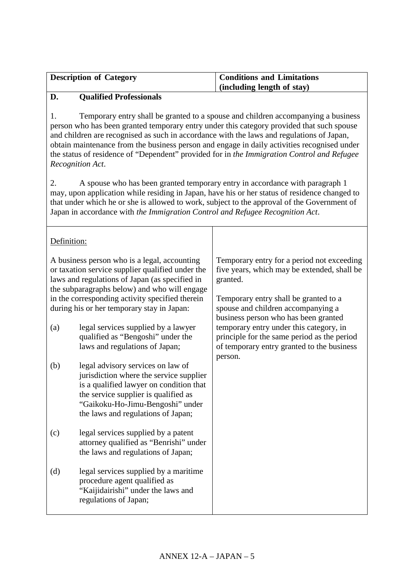| <b>Description of Category</b> | <b>Conditions and Limitations</b> |
|--------------------------------|-----------------------------------|
|                                | $\int$ (including length of stay) |

## **D. Qualified Professionals**

1. Temporary entry shall be granted to a spouse and children accompanying a business person who has been granted temporary entry under this category provided that such spouse and children are recognised as such in accordance with the laws and regulations of Japan, obtain maintenance from the business person and engage in daily activities recognised under the status of residence of "Dependent" provided for in *the Immigration Control and Refugee Recognition Act*.

2. A spouse who has been granted temporary entry in accordance with paragraph 1 may, upon application while residing in Japan, have his or her status of residence changed to that under which he or she is allowed to work, subject to the approval of the Government of Japan in accordance with *the Immigration Control and Refugee Recognition Act*.

| Definition: |                                                                                                                                                                                                                                                                                                     |                                                                                                                                                                                                                              |
|-------------|-----------------------------------------------------------------------------------------------------------------------------------------------------------------------------------------------------------------------------------------------------------------------------------------------------|------------------------------------------------------------------------------------------------------------------------------------------------------------------------------------------------------------------------------|
|             | A business person who is a legal, accounting<br>or taxation service supplier qualified under the<br>laws and regulations of Japan (as specified in<br>the subparagraphs below) and who will engage<br>in the corresponding activity specified therein<br>during his or her temporary stay in Japan: | Temporary entry for a period not exceeding<br>five years, which may be extended, shall be<br>granted.<br>Temporary entry shall be granted to a<br>spouse and children accompanying a<br>business person who has been granted |
| (a)         | legal services supplied by a lawyer<br>qualified as "Bengoshi" under the<br>laws and regulations of Japan;                                                                                                                                                                                          | temporary entry under this category, in<br>principle for the same period as the period<br>of temporary entry granted to the business<br>person.                                                                              |
| (b)         | legal advisory services on law of<br>jurisdiction where the service supplier<br>is a qualified lawyer on condition that<br>the service supplier is qualified as<br>"Gaikoku-Ho-Jimu-Bengoshi" under<br>the laws and regulations of Japan;                                                           |                                                                                                                                                                                                                              |
| (c)         | legal services supplied by a patent<br>attorney qualified as "Benrishi" under<br>the laws and regulations of Japan;                                                                                                                                                                                 |                                                                                                                                                                                                                              |
| (d)         | legal services supplied by a maritime<br>procedure agent qualified as<br>"Kaijidairishi" under the laws and<br>regulations of Japan;                                                                                                                                                                |                                                                                                                                                                                                                              |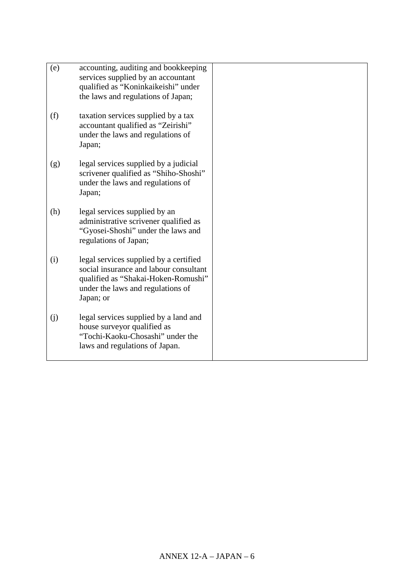| (e) | accounting, auditing and bookkeeping<br>services supplied by an accountant<br>qualified as "Koninkaikeishi" under<br>the laws and regulations of Japan;                   |
|-----|---------------------------------------------------------------------------------------------------------------------------------------------------------------------------|
| (f) | taxation services supplied by a tax<br>accountant qualified as "Zeirishi"<br>under the laws and regulations of<br>Japan;                                                  |
| (g) | legal services supplied by a judicial<br>scrivener qualified as "Shiho-Shoshi"<br>under the laws and regulations of<br>Japan;                                             |
| (h) | legal services supplied by an<br>administrative scrivener qualified as<br>"Gyosei-Shoshi" under the laws and<br>regulations of Japan;                                     |
| (i) | legal services supplied by a certified<br>social insurance and labour consultant<br>qualified as "Shakai-Hoken-Romushi"<br>under the laws and regulations of<br>Japan; or |
| (j) | legal services supplied by a land and<br>house surveyor qualified as<br>"Tochi-Kaoku-Chosashi" under the<br>laws and regulations of Japan.                                |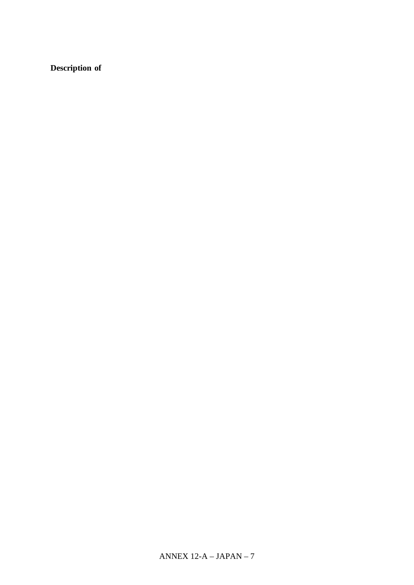# Description of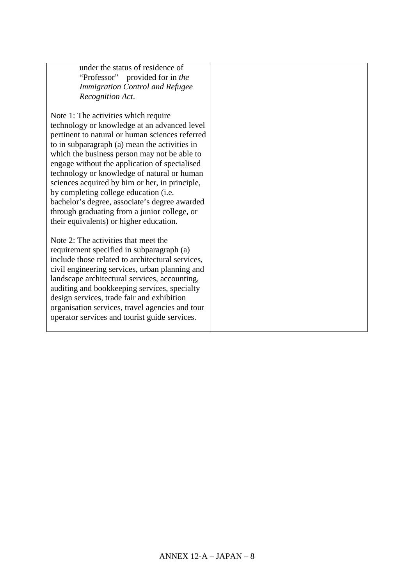| under the status of residence of<br>"Professor" provided for in the |  |
|---------------------------------------------------------------------|--|
| <b>Immigration Control and Refugee</b>                              |  |
| Recognition Act.                                                    |  |
|                                                                     |  |
| Note 1: The activities which require                                |  |
| technology or knowledge at an advanced level                        |  |
| pertinent to natural or human sciences referred                     |  |
| to in subparagraph (a) mean the activities in                       |  |
| which the business person may not be able to                        |  |
| engage without the application of specialised                       |  |
| technology or knowledge of natural or human                         |  |
| sciences acquired by him or her, in principle,                      |  |
| by completing college education (i.e.                               |  |
| bachelor's degree, associate's degree awarded                       |  |
| through graduating from a junior college, or                        |  |
| their equivalents) or higher education.                             |  |
| Note 2: The activities that meet the                                |  |
| requirement specified in subparagraph (a)                           |  |
| include those related to architectural services,                    |  |
| civil engineering services, urban planning and                      |  |
| landscape architectural services, accounting,                       |  |
| auditing and bookkeeping services, specialty                        |  |
| design services, trade fair and exhibition                          |  |
| organisation services, travel agencies and tour                     |  |
| operator services and tourist guide services.                       |  |
|                                                                     |  |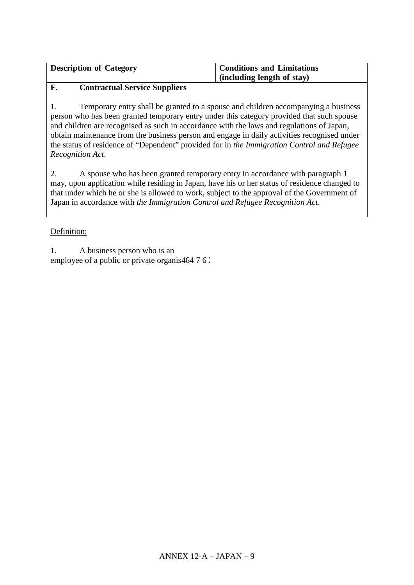| <b>Description of Category</b> | <b>Conditions and Limitations</b> |
|--------------------------------|-----------------------------------|
|                                | (including length of stay)        |

#### F. **Contractual Service Suppliers**

1. Temporary entry shall be granted to a spouse and children accompanying a business person who has been granted temporary entry under this category provided that such spouse and children are recognised as such in accordance with the laws and regulations of Japan, obtain maintenance from the business person and engage in daily activities recognised under the status of residence of "Dependent" provided for in the Immigration Control and Refugee Recognition Act.

 $\mathcal{L}$ A spouse who has been granted temporary entry in accordance with paragraph 1 may, upon application while residing in Japan, have his or her status of residence changed to that under which he or she is allowed to work, subject to the approval of the Government of Japan in accordance with the Immigration Control and Refugee Recognition Act.

## Definition:

 $1.$ A business person who is an employee of a public or private organis464 7 6.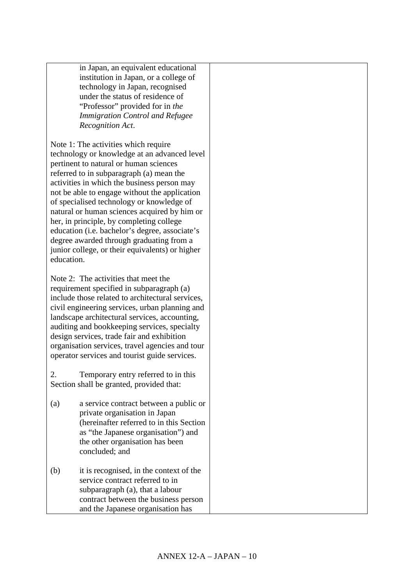in Japan, an equivalent educational institution in Japan, or a college of technology in Japan, recognised under the status of residence of "Professor" provided for in *the Immigration Control and Refugee Recognition Act*.

Note 1: The activities which require technology or knowledge at an advanced level pertinent to natural or human sciences referred to in subparagraph (a) mean the activities in which the business person may not be able to engage without the application of specialised technology or knowledge of natural or human sciences acquired by him or her, in principle, by completing college education (i.e. bachelor's degree, associate's degree awarded through graduating from a junior college, or their equivalents) or higher education.

Note 2: The activities that meet the requirement specified in subparagraph (a) include those related to architectural services, civil engineering services, urban planning and landscape architectural services, accounting, auditing and bookkeeping services, specialty design services, trade fair and exhibition organisation services, travel agencies and tour operator services and tourist guide services.

2. Temporary entry referred to in this Section shall be granted, provided that:

- (a) a service contract between a public or private organisation in Japan (hereinafter referred to in this Section as "the Japanese organisation") and the other organisation has been concluded; and
- (b) it is recognised, in the context of the service contract referred to in subparagraph (a), that a labour contract between the business person and the Japanese organisation has